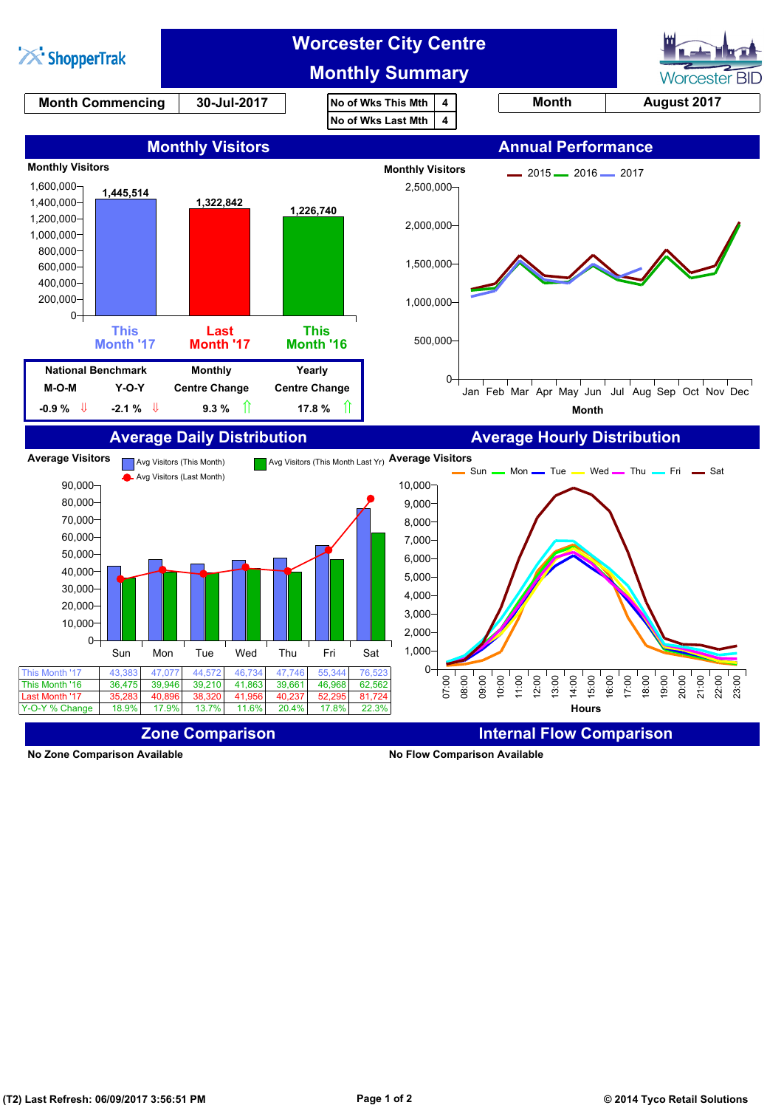

**No Zone Comparison Available No Flow Comparison Available**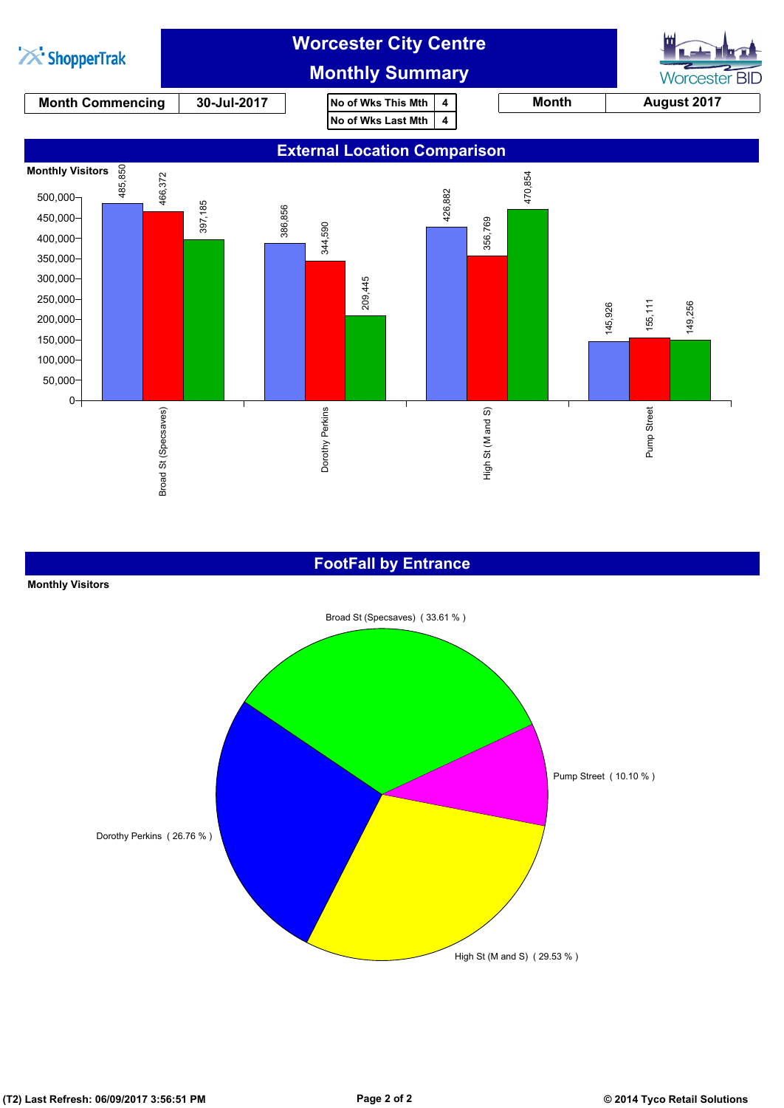

#### **FootFall by Entrance**

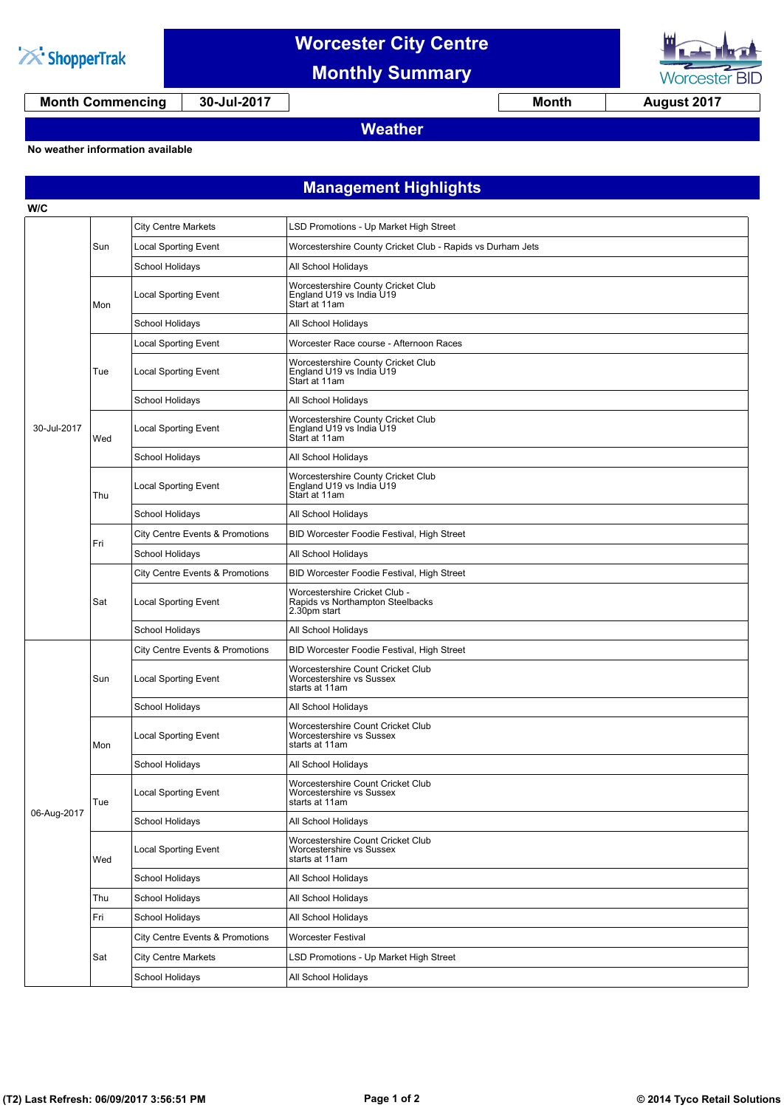

# **Worcester City Centre**

**Monthly Summary**



**Worcester BID** 

**Weather**

**No weather information available**

### **Management Highlights**

| W/C         |     |                                            |                                                                                   |  |  |
|-------------|-----|--------------------------------------------|-----------------------------------------------------------------------------------|--|--|
| 30-Jul-2017 | Sun | <b>City Centre Markets</b>                 | LSD Promotions - Up Market High Street                                            |  |  |
|             |     | <b>Local Sporting Event</b>                | Worcestershire County Cricket Club - Rapids vs Durham Jets                        |  |  |
|             |     | School Holidays                            | All School Holidays                                                               |  |  |
|             | Mon | Local Sporting Event                       | Worcestershire County Cricket Club<br>England U19 vs India U19<br>Start at 11am   |  |  |
|             |     | School Holidays                            | All School Holidays                                                               |  |  |
|             | Tue | Local Sporting Event                       | Worcester Race course - Afternoon Races                                           |  |  |
|             |     | <b>Local Sporting Event</b>                | Worcestershire County Cricket Club<br>England U19 vs India U19<br>Start at 11am   |  |  |
|             |     | School Holidays                            | All School Holidays                                                               |  |  |
|             | Wed | Local Sporting Event                       | Worcestershire County Cricket Club<br>England U19 vs India U19<br>Start at 11am   |  |  |
|             |     | School Holidays                            | All School Holidays                                                               |  |  |
|             | Thu | Local Sporting Event                       | Worcestershire County Cricket Club<br>England U19 vs India U19<br>Start at 11am   |  |  |
|             |     | School Holidays                            | All School Holidays                                                               |  |  |
|             |     | City Centre Events & Promotions            | BID Worcester Foodie Festival, High Street                                        |  |  |
|             | Fri | <b>School Holidays</b>                     | All School Holidays                                                               |  |  |
|             | Sat | <b>City Centre Events &amp; Promotions</b> | BID Worcester Foodie Festival, High Street                                        |  |  |
|             |     | <b>Local Sporting Event</b>                | Worcestershire Cricket Club -<br>Rapids vs Northampton Steelbacks<br>2.30pm start |  |  |
|             |     | School Holidays                            | All School Holidays                                                               |  |  |
|             |     | <b>City Centre Events &amp; Promotions</b> | BID Worcester Foodie Festival, High Street                                        |  |  |
|             | Sun | <b>Local Sporting Event</b>                | Worcestershire Count Cricket Club<br>Worcestershire vs Sussex<br>starts at 11am   |  |  |
|             |     | School Holidays                            | All School Holidays                                                               |  |  |
| 06-Aug-2017 | Mon | <b>Local Sporting Event</b>                | Worcestershire Count Cricket Club<br>Worcestershire vs Sussex<br>starts at 11am   |  |  |
|             |     | School Holidays                            | All School Holidays                                                               |  |  |
|             | Tue | <b>Local Sporting Event</b>                | Worcestershire Count Cricket Club<br>worcestersnire vs Sussex<br>starts at 11am   |  |  |
|             |     | School Holidays                            | All School Holidays                                                               |  |  |
|             | Wed | <b>Local Sporting Event</b>                | Worcestershire Count Cricket Club<br>Worcestershire vs Sussex<br>starts at 11am   |  |  |
|             |     | School Holidays                            | All School Holidays                                                               |  |  |
|             | Thu | School Holidays                            | All School Holidays                                                               |  |  |
|             | Fri | School Holidays                            | All School Holidays                                                               |  |  |
|             | Sat | City Centre Events & Promotions            | Worcester Festival                                                                |  |  |
|             |     | <b>City Centre Markets</b>                 | LSD Promotions - Up Market High Street                                            |  |  |
|             |     | School Holidays                            | All School Holidays                                                               |  |  |